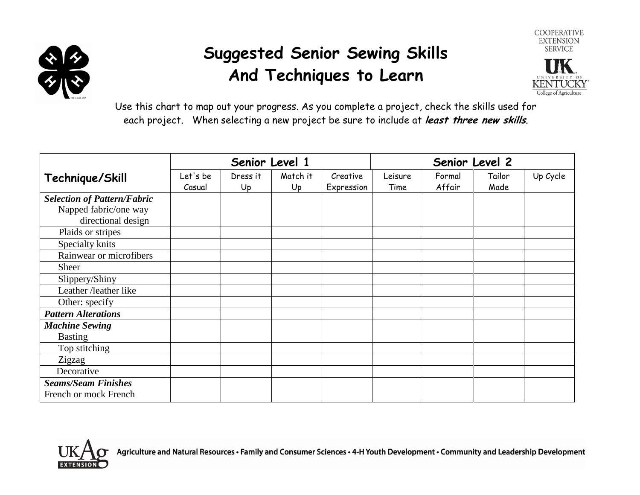

## **Suggested Senior Sewing Skills And Techniques to Learn**



Use this chart to map out your progress. As you complete a project, check the skills used for each project. When selecting a new project be sure to include at **least three new skills**.

|                                                                                   | Senior Level 1     |                |                | Senior Level 2         |                 |                  |                |          |
|-----------------------------------------------------------------------------------|--------------------|----------------|----------------|------------------------|-----------------|------------------|----------------|----------|
| Technique/Skill                                                                   | Let's be<br>Casual | Dress it<br>Up | Match it<br>Up | Creative<br>Expression | Leisure<br>Time | Formal<br>Affair | Tailor<br>Made | Up Cycle |
| <b>Selection of Pattern/Fabric</b><br>Napped fabric/one way<br>directional design |                    |                |                |                        |                 |                  |                |          |
| Plaids or stripes                                                                 |                    |                |                |                        |                 |                  |                |          |
| Specialty knits                                                                   |                    |                |                |                        |                 |                  |                |          |
| Rainwear or microfibers                                                           |                    |                |                |                        |                 |                  |                |          |
| <b>Sheer</b>                                                                      |                    |                |                |                        |                 |                  |                |          |
| Slippery/Shiny                                                                    |                    |                |                |                        |                 |                  |                |          |
| Leather /leather like                                                             |                    |                |                |                        |                 |                  |                |          |
| Other: specify                                                                    |                    |                |                |                        |                 |                  |                |          |
| <b>Pattern Alterations</b>                                                        |                    |                |                |                        |                 |                  |                |          |
| <b>Machine Sewing</b>                                                             |                    |                |                |                        |                 |                  |                |          |
| <b>Basting</b>                                                                    |                    |                |                |                        |                 |                  |                |          |
| Top stitching                                                                     |                    |                |                |                        |                 |                  |                |          |
| Zigzag                                                                            |                    |                |                |                        |                 |                  |                |          |
| Decorative                                                                        |                    |                |                |                        |                 |                  |                |          |
| <b>Seams/Seam Finishes</b><br>French or mock French                               |                    |                |                |                        |                 |                  |                |          |

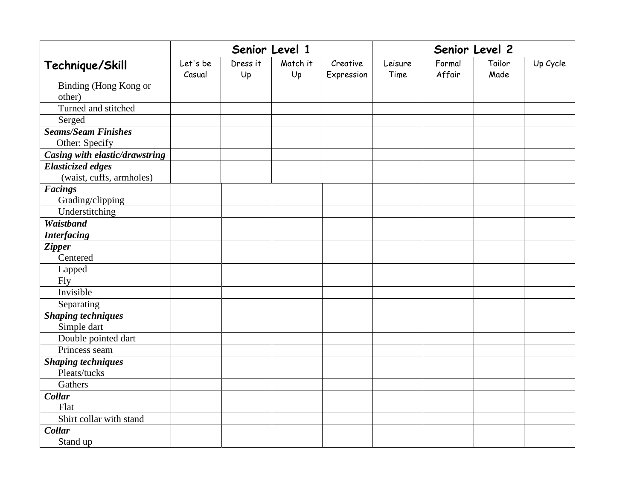|                                |          |          | Senior Level 1 |            | Senior Level 2 |        |        |          |
|--------------------------------|----------|----------|----------------|------------|----------------|--------|--------|----------|
| Technique/Skill                | Let's be | Dress it | Match it       | Creative   | Leisure        | Formal | Tailor | Up Cycle |
|                                | Casual   | Up       | Up             | Expression | Time           | Affair | Made   |          |
| Binding (Hong Kong or          |          |          |                |            |                |        |        |          |
| other)                         |          |          |                |            |                |        |        |          |
| Turned and stitched            |          |          |                |            |                |        |        |          |
| Serged                         |          |          |                |            |                |        |        |          |
| <b>Seams/Seam Finishes</b>     |          |          |                |            |                |        |        |          |
| Other: Specify                 |          |          |                |            |                |        |        |          |
| Casing with elastic/drawstring |          |          |                |            |                |        |        |          |
| <b>Elasticized edges</b>       |          |          |                |            |                |        |        |          |
| (waist, cuffs, armholes)       |          |          |                |            |                |        |        |          |
| <b>Facings</b>                 |          |          |                |            |                |        |        |          |
| Grading/clipping               |          |          |                |            |                |        |        |          |
| Understitching                 |          |          |                |            |                |        |        |          |
| <b>Waistband</b>               |          |          |                |            |                |        |        |          |
| <b>Interfacing</b>             |          |          |                |            |                |        |        |          |
| <b>Zipper</b>                  |          |          |                |            |                |        |        |          |
| Centered                       |          |          |                |            |                |        |        |          |
| Lapped                         |          |          |                |            |                |        |        |          |
| <b>Fly</b>                     |          |          |                |            |                |        |        |          |
| Invisible                      |          |          |                |            |                |        |        |          |
| Separating                     |          |          |                |            |                |        |        |          |
| <b>Shaping techniques</b>      |          |          |                |            |                |        |        |          |
| Simple dart                    |          |          |                |            |                |        |        |          |
| Double pointed dart            |          |          |                |            |                |        |        |          |
| Princess seam                  |          |          |                |            |                |        |        |          |
| <b>Shaping techniques</b>      |          |          |                |            |                |        |        |          |
| Pleats/tucks                   |          |          |                |            |                |        |        |          |
| Gathers                        |          |          |                |            |                |        |        |          |
| <b>Collar</b>                  |          |          |                |            |                |        |        |          |
| Flat                           |          |          |                |            |                |        |        |          |
| Shirt collar with stand        |          |          |                |            |                |        |        |          |
| <b>Collar</b>                  |          |          |                |            |                |        |        |          |
| Stand up                       |          |          |                |            |                |        |        |          |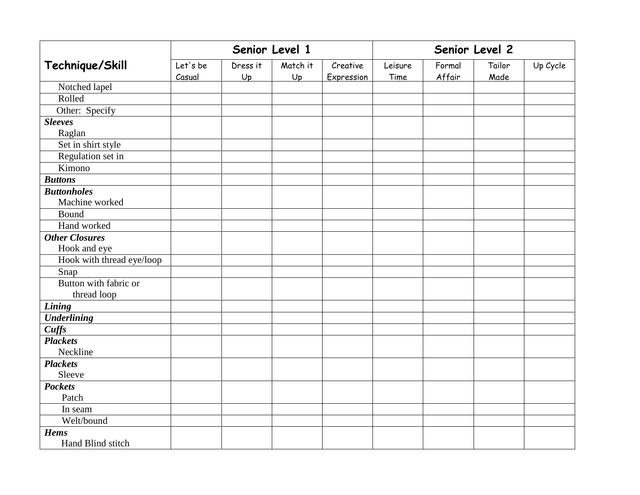|                           | Senior Level 1     |                |                |                        | Senior Level 2  |                  |                |          |
|---------------------------|--------------------|----------------|----------------|------------------------|-----------------|------------------|----------------|----------|
| Technique/Skill           | Let's be<br>Casual | Dress it<br>Up | Match it<br>Up | Creative<br>Expression | Leisure<br>Time | Formal<br>Affair | Tailor<br>Made | Up Cycle |
| Notched lapel             |                    |                |                |                        |                 |                  |                |          |
| Rolled                    |                    |                |                |                        |                 |                  |                |          |
| Other: Specify            |                    |                |                |                        |                 |                  |                |          |
| <b>Sleeves</b>            |                    |                |                |                        |                 |                  |                |          |
| Raglan                    |                    |                |                |                        |                 |                  |                |          |
| Set in shirt style        |                    |                |                |                        |                 |                  |                |          |
| Regulation set in         |                    |                |                |                        |                 |                  |                |          |
| Kimono                    |                    |                |                |                        |                 |                  |                |          |
| <b>Buttons</b>            |                    |                |                |                        |                 |                  |                |          |
| <b>Buttonholes</b>        |                    |                |                |                        |                 |                  |                |          |
| Machine worked            |                    |                |                |                        |                 |                  |                |          |
| Bound                     |                    |                |                |                        |                 |                  |                |          |
| Hand worked               |                    |                |                |                        |                 |                  |                |          |
| <b>Other Closures</b>     |                    |                |                |                        |                 |                  |                |          |
| Hook and eye              |                    |                |                |                        |                 |                  |                |          |
| Hook with thread eye/loop |                    |                |                |                        |                 |                  |                |          |
| Snap                      |                    |                |                |                        |                 |                  |                |          |
| Button with fabric or     |                    |                |                |                        |                 |                  |                |          |
| thread loop               |                    |                |                |                        |                 |                  |                |          |
| Lining                    |                    |                |                |                        |                 |                  |                |          |
| <b>Underlining</b>        |                    |                |                |                        |                 |                  |                |          |
| Cuffs                     |                    |                |                |                        |                 |                  |                |          |
| <b>Plackets</b>           |                    |                |                |                        |                 |                  |                |          |
| Neckline                  |                    |                |                |                        |                 |                  |                |          |
| <b>Plackets</b>           |                    |                |                |                        |                 |                  |                |          |
| Sleeve                    |                    |                |                |                        |                 |                  |                |          |
| <b>Pockets</b>            |                    |                |                |                        |                 |                  |                |          |
| Patch                     |                    |                |                |                        |                 |                  |                |          |
| In seam                   |                    |                |                |                        |                 |                  |                |          |
| Welt/bound                |                    |                |                |                        |                 |                  |                |          |
| <b>Hems</b>               |                    |                |                |                        |                 |                  |                |          |
| Hand Blind stitch         |                    |                |                |                        |                 |                  |                |          |